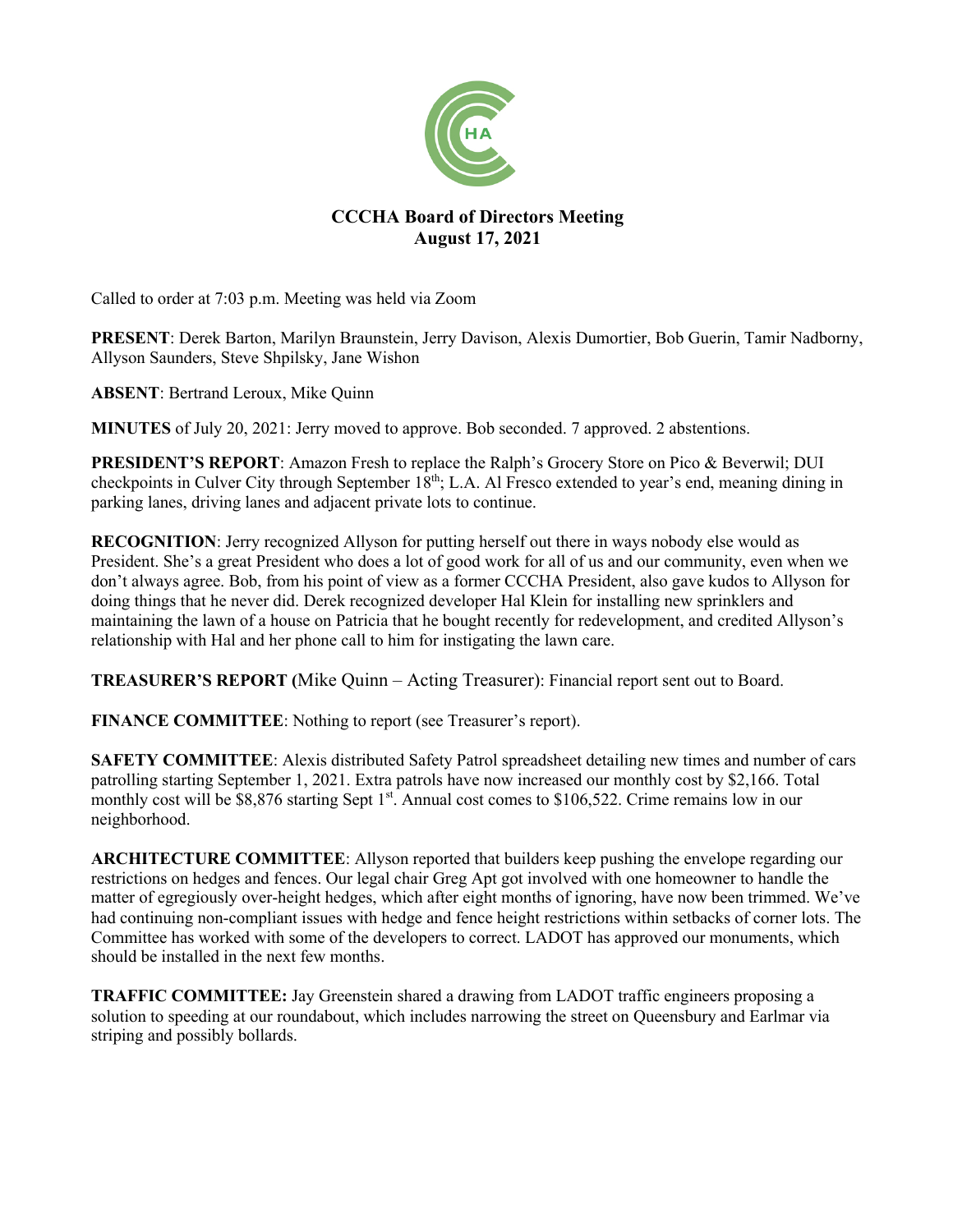

## **CCCHA Board of Directors Meeting August 17, 2021**

Called to order at 7:03 p.m. Meeting was held via Zoom

**PRESENT**: Derek Barton, Marilyn Braunstein, Jerry Davison, Alexis Dumortier, Bob Guerin, Tamir Nadborny, Allyson Saunders, Steve Shpilsky, Jane Wishon

**ABSENT**: Bertrand Leroux, Mike Quinn

**MINUTES** of July 20, 2021: Jerry moved to approve. Bob seconded. 7 approved. 2 abstentions.

**PRESIDENT'S REPORT**: Amazon Fresh to replace the Ralph's Grocery Store on Pico & Beverwil; DUI checkpoints in Culver City through September  $18<sup>th</sup>$ ; L.A. Al Fresco extended to year's end, meaning dining in parking lanes, driving lanes and adjacent private lots to continue.

**RECOGNITION**: Jerry recognized Allyson for putting herself out there in ways nobody else would as President. She's a great President who does a lot of good work for all of us and our community, even when we don't always agree. Bob, from his point of view as a former CCCHA President, also gave kudos to Allyson for doing things that he never did. Derek recognized developer Hal Klein for installing new sprinklers and maintaining the lawn of a house on Patricia that he bought recently for redevelopment, and credited Allyson's relationship with Hal and her phone call to him for instigating the lawn care.

**TREASURER'S REPORT (**Mike Quinn – Acting Treasurer): Financial report sent out to Board.

**FINANCE COMMITTEE**: Nothing to report (see Treasurer's report).

**SAFETY COMMITTEE**: Alexis distributed Safety Patrol spreadsheet detailing new times and number of cars patrolling starting September 1, 2021. Extra patrols have now increased our monthly cost by \$2,166. Total monthly cost will be  $$8,876$  starting Sept 1<sup>st</sup>. Annual cost comes to  $$106,522$ . Crime remains low in our neighborhood.

**ARCHITECTURE COMMITTEE:** Allyson reported that builders keep pushing the envelope regarding our restrictions on hedges and fences. Our legal chair Greg Apt got involved with one homeowner to handle the matter of egregiously over-height hedges, which after eight months of ignoring, have now been trimmed. We've had continuing non-compliant issues with hedge and fence height restrictions within setbacks of corner lots. The Committee has worked with some of the developers to correct. LADOT has approved our monuments, which should be installed in the next few months.

**TRAFFIC COMMITTEE:** Jay Greenstein shared a drawing from LADOT traffic engineers proposing a solution to speeding at our roundabout, which includes narrowing the street on Queensbury and Earlmar via striping and possibly bollards.